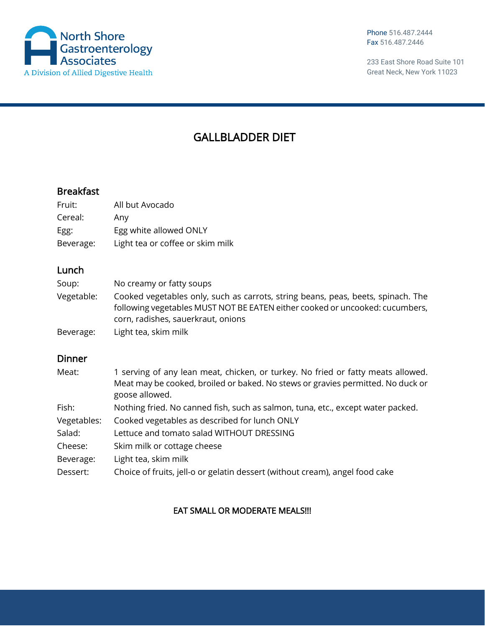

Phone 516.487.2444 Fax 516.487.2446

233 East Shore Road Suite 101 Great Neck, New York 11023

# GALLBLADDER DIET

## Breakfast

| Fruit:    | All but Avocado                  |
|-----------|----------------------------------|
| Cereal:   | Any                              |
| Egg:      | Egg white allowed ONLY           |
| Beverage: | Light tea or coffee or skim milk |

### Lunch

| Soup:      | No creamy or fatty soups                                                                                                                                                                               |
|------------|--------------------------------------------------------------------------------------------------------------------------------------------------------------------------------------------------------|
| Vegetable: | Cooked vegetables only, such as carrots, string beans, peas, beets, spinach. The<br>following vegetables MUST NOT BE EATEN either cooked or uncooked: cucumbers,<br>corn, radishes, sauerkraut, onions |
| Beverage:  | Light tea, skim milk                                                                                                                                                                                   |

### Dinner

| Meat:       | 1 serving of any lean meat, chicken, or turkey. No fried or fatty meats allowed.<br>Meat may be cooked, broiled or baked. No stews or gravies permitted. No duck or<br>goose allowed. |
|-------------|---------------------------------------------------------------------------------------------------------------------------------------------------------------------------------------|
| Fish:       | Nothing fried. No canned fish, such as salmon, tuna, etc., except water packed.                                                                                                       |
| Vegetables: | Cooked vegetables as described for lunch ONLY                                                                                                                                         |
| Salad:      | Lettuce and tomato salad WITHOUT DRESSING                                                                                                                                             |
| Cheese:     | Skim milk or cottage cheese                                                                                                                                                           |
| Beverage:   | Light tea, skim milk                                                                                                                                                                  |
| Dessert:    | Choice of fruits, jell-o or gelatin dessert (without cream), angel food cake                                                                                                          |

### EAT SMALL OR MODERATE MEALS!!!